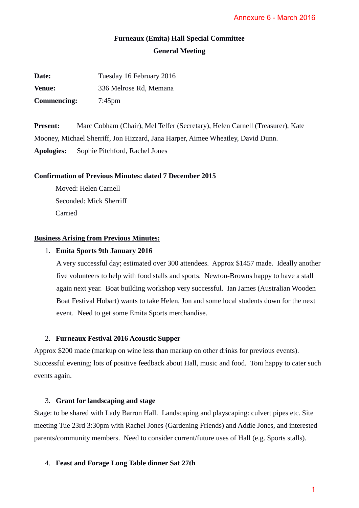# **Furneaux (Emita) Hall Special Committee General Meeting**

| Date:              | Tuesday 16 February 2016 |
|--------------------|--------------------------|
| <b>Venue:</b>      | 336 Melrose Rd, Memana   |
| <b>Commencing:</b> | $7:45$ pm                |

**Present:** Marc Cobham (Chair), Mel Telfer (Secretary), Helen Carnell (Treasurer), Kate Mooney, Michael Sherriff, Jon Hizzard, Jana Harper, Aimee Wheatley, David Dunn. **Apologies:** Sophie Pitchford, Rachel Jones

# **Confirmation of Previous Minutes: dated 7 December 2015**

Moved: Helen Carnell Seconded: Mick Sherriff Carried

# **Business Arising from Previous Minutes:**

# 1. **Emita Sports 9th January 2016**

A very successful day; estimated over 300 attendees. Approx \$1457 made. Ideally another five volunteers to help with food stalls and sports. Newton-Browns happy to have a stall again next year. Boat building workshop very successful. Ian James (Australian Wooden Boat Festival Hobart) wants to take Helen, Jon and some local students down for the next event. Need to get some Emita Sports merchandise. Annexure 6 - March 2016<br>
ttee<br>
ttee<br>
Carnell (Treasurer), Kate<br>
y, David Dunn.<br>
S1457 made. Ideally anoth<br>
irowns happy to have a stall<br>
il students down for the next<br>
is for previous events).<br>
Siood. Toni happy to cater s

# 2. **Furneaux Festival 2016 Acoustic Supper**

Approx \$200 made (markup on wine less than markup on other drinks for previous events). Successful evening; lots of positive feedback about Hall, music and food. Toni happy to cater such events again.

# 3. **Grant for landscaping and stage**

Stage: to be shared with Lady Barron Hall. Landscaping and playscaping: culvert pipes etc. Site meeting Tue 23rd 3:30pm with Rachel Jones (Gardening Friends) and Addie Jones, and interested parents/community members. Need to consider current/future uses of Hall (e.g. Sports stalls).

# 4. **Feast and Forage Long Table dinner Sat 27th**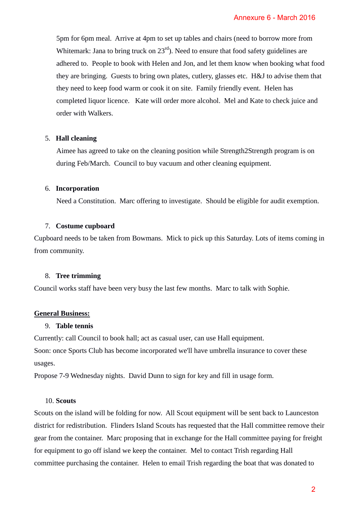5pm for 6pm meal. Arrive at 4pm to set up tables and chairs (need to borrow more from Whitemark: Jana to bring truck on  $23<sup>rd</sup>$ ). Need to ensure that food safety guidelines are adhered to. People to book with Helen and Jon, and let them know when booking what food they are bringing. Guests to bring own plates, cutlery, glasses etc. H&J to advise them that they need to keep food warm or cook it on site. Family friendly event. Helen has completed liquor licence. Kate will order more alcohol. Mel and Kate to check juice and order with Walkers. Annexure 6 - March 2016<br>(need to borrow more from<br>food safety guidelines are<br>know when booking what fo<br>setc. H&J to advise them th<br>lly event. Helen has<br>and Kate to check juice and<br>guidelines are<br>and Hall event.<br>Helen has<br>g

#### 5. **Hall cleaning**

Aimee has agreed to take on the cleaning position while Strength2Strength program is on during Feb/March. Council to buy vacuum and other cleaning equipment.

#### 6. **Incorporation**

Need a Constitution. Marc offering to investigate. Should be eligible for audit exemption.

#### 7. **Costume cupboard**

Cupboard needs to be taken from Bowmans. Mick to pick up this Saturday. Lots of items coming in from community.

#### 8. **Tree trimming**

Council works staff have been very busy the last few months. Marc to talk with Sophie.

#### **General Business:**

#### 9. **Table tennis**

Currently: call Council to book hall; act as casual user, can use Hall equipment. Soon: once Sports Club has become incorporated we'll have umbrella insurance to cover these usages.

Propose 7-9 Wednesday nights. David Dunn to sign for key and fill in usage form.

### 10. **Scouts**

Scouts on the island will be folding for now. All Scout equipment will be sent back to Launceston district for redistribution. Flinders Island Scouts has requested that the Hall committee remove their gear from the container. Marc proposing that in exchange for the Hall committee paying for freight for equipment to go off island we keep the container. Mel to contact Trish regarding Hall committee purchasing the container. Helen to email Trish regarding the boat that was donated to